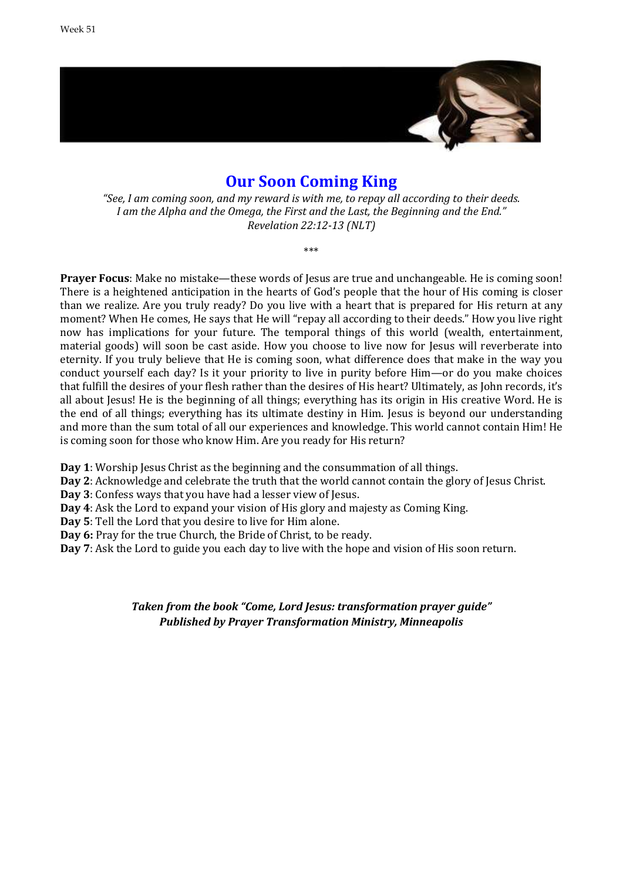

## **Our Soon Coming King**

*"See, I am coming soon, and my reward is with me, to repay all according to their deeds. I am the Alpha and the Omega, the First and the Last, the Beginning and the End." Revelation 22:12-13 (NLT)*

\*\*\*

**Prayer Focus**: Make no mistake—these words of Jesus are true and unchangeable. He is coming soon! There is a heightened anticipation in the hearts of God's people that the hour of His coming is closer than we realize. Are you truly ready? Do you live with a heart that is prepared for His return at any moment? When He comes, He says that He will "repay all according to their deeds." How you live right now has implications for your future. The temporal things of this world (wealth, entertainment, material goods) will soon be cast aside. How you choose to live now for Jesus will reverberate into eternity. If you truly believe that He is coming soon, what difference does that make in the way you conduct yourself each day? Is it your priority to live in purity before Him—or do you make choices that fulfill the desires of your flesh rather than the desires of His heart? Ultimately, as John records, it's all about Jesus! He is the beginning of all things; everything has its origin in His creative Word. He is the end of all things; everything has its ultimate destiny in Him. Jesus is beyond our understanding and more than the sum total of all our experiences and knowledge. This world cannot contain Him! He is coming soon for those who know Him. Are you ready for His return?

**Day 1**: Worship Jesus Christ as the beginning and the consummation of all things.

**Day 2**: Acknowledge and celebrate the truth that the world cannot contain the glory of Jesus Christ.

**Day 3**: Confess ways that you have had a lesser view of Jesus.

**Day 4**: Ask the Lord to expand your vision of His glory and majesty as Coming King.

**Day 5**: Tell the Lord that you desire to live for Him alone.

**Day 6:** Pray for the true Church, the Bride of Christ, to be ready.

**Day 7**: Ask the Lord to guide you each day to live with the hope and vision of His soon return.

*Taken from the book "Come, Lord Jesus: transformation prayer guide" Published by Prayer Transformation Ministry, Minneapolis*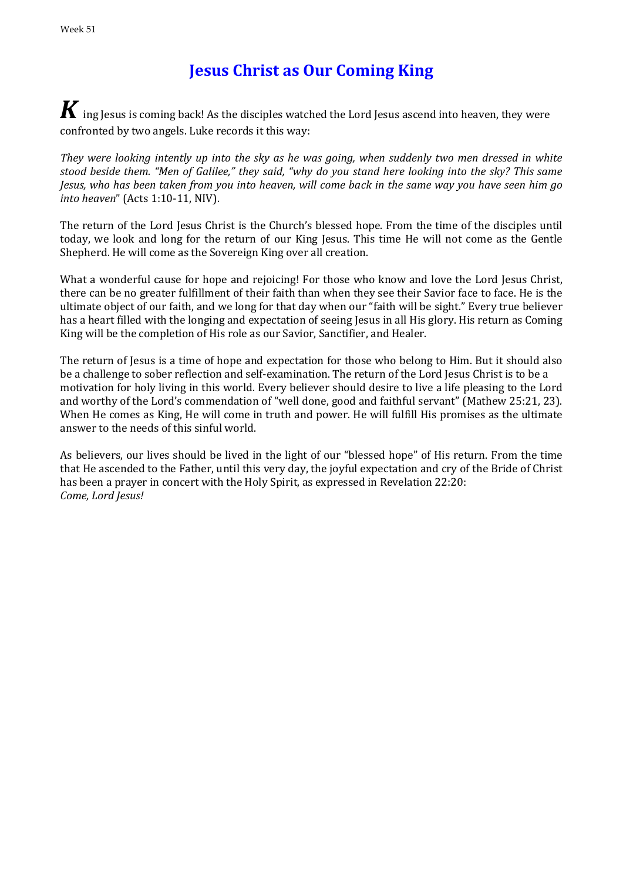# **Jesus Christ as Our Coming King**

 $\boldsymbol{K}$  ing Jesus is coming back! As the disciples watched the Lord Jesus ascend into heaven, they were confronted by two angels. Luke records it this way:

*They were looking intently up into the sky as he was going, when suddenly two men dressed in white stood beside them. "Men of Galilee," they said, "why do you stand here looking into the sky? This same Jesus, who has been taken from you into heaven, will come back in the same way you have seen him go into heaven*" (Acts 1:10-11, NIV).

The return of the Lord Jesus Christ is the Church's blessed hope. From the time of the disciples until today, we look and long for the return of our King Jesus. This time He will not come as the Gentle Shepherd. He will come as the Sovereign King over all creation.

What a wonderful cause for hope and rejoicing! For those who know and love the Lord Jesus Christ. there can be no greater fulfillment of their faith than when they see their Savior face to face. He is the ultimate object of our faith, and we long for that day when our "faith will be sight." Every true believer has a heart filled with the longing and expectation of seeing Jesus in all His glory. His return as Coming King will be the completion of His role as our Savior, Sanctifier, and Healer.

The return of Jesus is a time of hope and expectation for those who belong to Him. But it should also be a challenge to sober reflection and self-examination. The return of the Lord Jesus Christ is to be a motivation for holy living in this world. Every believer should desire to live a life pleasing to the Lord and worthy of the Lord's commendation of "well done, good and faithful servant" (Mathew 25:21, 23). When He comes as King, He will come in truth and power. He will fulfill His promises as the ultimate answer to the needs of this sinful world.

As believers, our lives should be lived in the light of our "blessed hope" of His return. From the time that He ascended to the Father, until this very day, the joyful expectation and cry of the Bride of Christ has been a prayer in concert with the Holy Spirit, as expressed in Revelation 22:20: *Come, Lord Jesus!*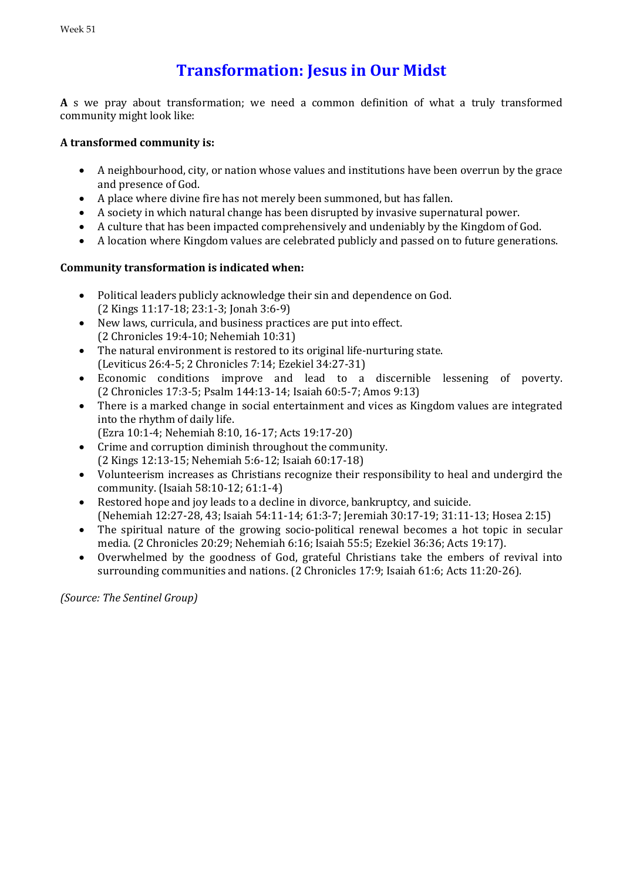# **Transformation: Jesus in Our Midst**

**A** s we pray about transformation; we need a common definition of what a truly transformed community might look like:

### **A transformed community is:**

- A neighbourhood, city, or nation whose values and institutions have been overrun by the grace and presence of God.
- A place where divine fire has not merely been summoned, but has fallen.
- A society in which natural change has been disrupted by invasive supernatural power.
- A culture that has been impacted comprehensively and undeniably by the Kingdom of God.
- A location where Kingdom values are celebrated publicly and passed on to future generations.

### **Community transformation is indicated when:**

- Political leaders publicly acknowledge their sin and dependence on God. (2 Kings 11:17-18; 23:1-3; Jonah 3:6-9)
- New laws, curricula, and business practices are put into effect. (2 Chronicles 19:4-10; Nehemiah 10:31)
- The natural environment is restored to its original life-nurturing state. (Leviticus 26:4-5; 2 Chronicles 7:14; Ezekiel 34:27-31)
- Economic conditions improve and lead to a discernible lessening of poverty. (2 Chronicles 17:3-5; Psalm 144:13-14; Isaiah 60:5-7; Amos 9:13)
- There is a marked change in social entertainment and vices as Kingdom values are integrated into the rhythm of daily life.
	- (Ezra 10:1-4; Nehemiah 8:10, 16-17; Acts 19:17-20)
- Crime and corruption diminish throughout the community. (2 Kings 12:13-15; Nehemiah 5:6-12; Isaiah 60:17-18)
- Volunteerism increases as Christians recognize their responsibility to heal and undergird the community. (Isaiah 58:10-12; 61:1-4)
- Restored hope and joy leads to a decline in divorce, bankruptcy, and suicide. (Nehemiah 12:27-28, 43; Isaiah 54:11-14; 61:3-7; Jeremiah 30:17-19; 31:11-13; Hosea 2:15)
- The spiritual nature of the growing socio-political renewal becomes a hot topic in secular media. (2 Chronicles 20:29; Nehemiah 6:16; Isaiah 55:5; Ezekiel 36:36; Acts 19:17).
- Overwhelmed by the goodness of God, grateful Christians take the embers of revival into surrounding communities and nations. (2 Chronicles 17:9; Isaiah 61:6; Acts 11:20-26).

*(Source: The Sentinel Group)*